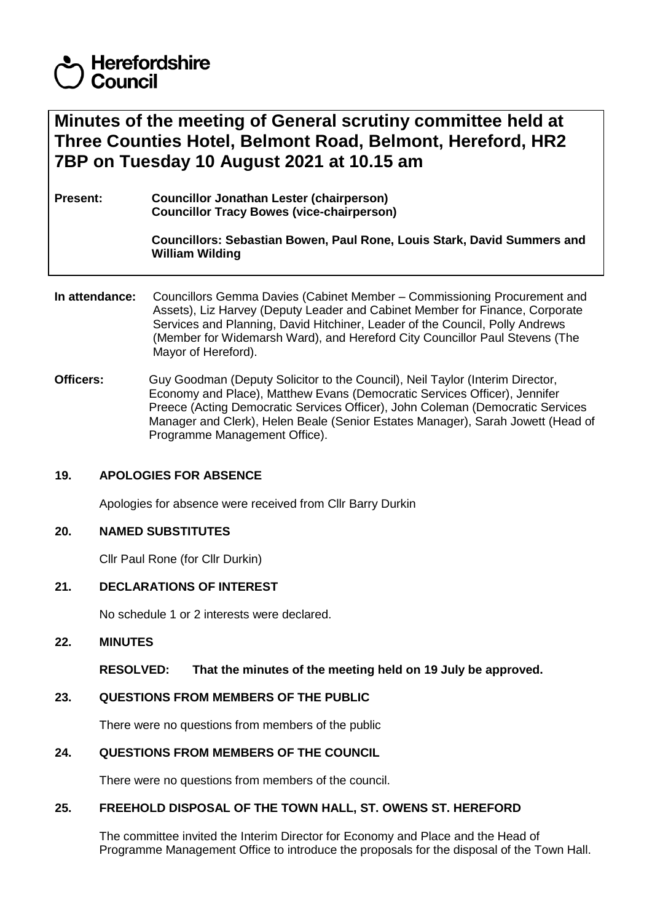# **Herefordshire** Council

# **Minutes of the meeting of General scrutiny committee held at Three Counties Hotel, Belmont Road, Belmont, Hereford, HR2 7BP on Tuesday 10 August 2021 at 10.15 am**

**Present: Councillor Jonathan Lester (chairperson) Councillor Tracy Bowes (vice-chairperson)**

> **Councillors: Sebastian Bowen, Paul Rone, Louis Stark, David Summers and William Wilding**

- **In attendance:** Councillors Gemma Davies (Cabinet Member Commissioning Procurement and Assets), Liz Harvey (Deputy Leader and Cabinet Member for Finance, Corporate Services and Planning, David Hitchiner, Leader of the Council, Polly Andrews (Member for Widemarsh Ward), and Hereford City Councillor Paul Stevens (The Mayor of Hereford).
- **Officers:** Guy Goodman (Deputy Solicitor to the Council), Neil Taylor (Interim Director, Economy and Place), Matthew Evans (Democratic Services Officer), Jennifer Preece (Acting Democratic Services Officer), John Coleman (Democratic Services Manager and Clerk), Helen Beale (Senior Estates Manager), Sarah Jowett (Head of Programme Management Office).

### **19. APOLOGIES FOR ABSENCE**

Apologies for absence were received from Cllr Barry Durkin

### **20. NAMED SUBSTITUTES**

Cllr Paul Rone (for Cllr Durkin)

### **21. DECLARATIONS OF INTEREST**

No schedule 1 or 2 interests were declared.

#### **22. MINUTES**

**RESOLVED: That the minutes of the meeting held on 19 July be approved.**

### **23. QUESTIONS FROM MEMBERS OF THE PUBLIC**

There were no questions from members of the public

# **24. QUESTIONS FROM MEMBERS OF THE COUNCIL**

There were no questions from members of the council.

#### **25. FREEHOLD DISPOSAL OF THE TOWN HALL, ST. OWENS ST. HEREFORD**

The committee invited the Interim Director for Economy and Place and the Head of Programme Management Office to introduce the proposals for the disposal of the Town Hall.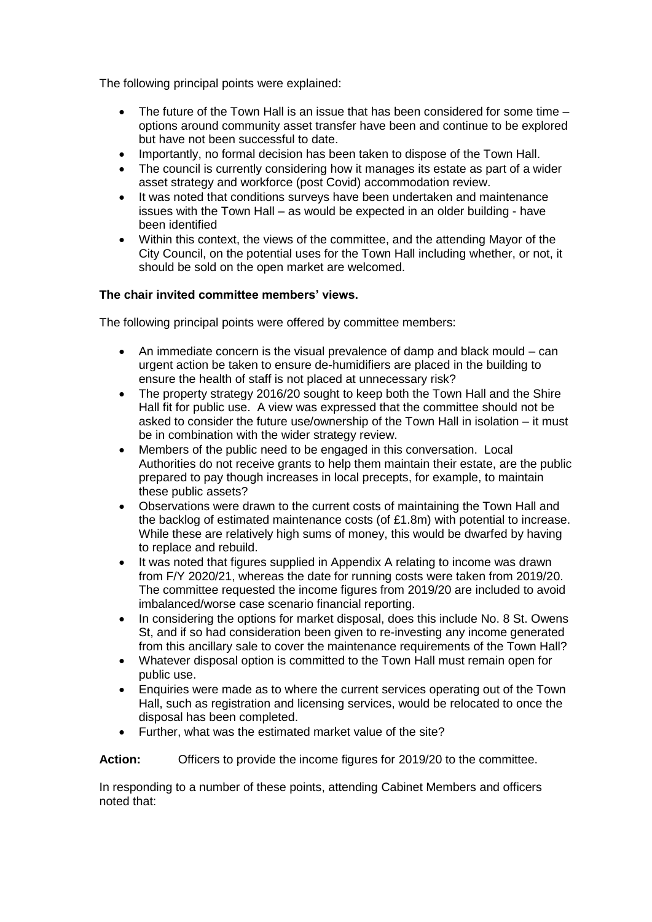The following principal points were explained:

- The future of the Town Hall is an issue that has been considered for some time options around community asset transfer have been and continue to be explored but have not been successful to date.
- Importantly, no formal decision has been taken to dispose of the Town Hall.
- The council is currently considering how it manages its estate as part of a wider asset strategy and workforce (post Covid) accommodation review.
- It was noted that conditions surveys have been undertaken and maintenance issues with the Town Hall – as would be expected in an older building - have been identified
- Within this context, the views of the committee, and the attending Mayor of the City Council, on the potential uses for the Town Hall including whether, or not, it should be sold on the open market are welcomed.

# **The chair invited committee members' views.**

The following principal points were offered by committee members:

- An immediate concern is the visual prevalence of damp and black mould can urgent action be taken to ensure de-humidifiers are placed in the building to ensure the health of staff is not placed at unnecessary risk?
- The property strategy 2016/20 sought to keep both the Town Hall and the Shire Hall fit for public use. A view was expressed that the committee should not be asked to consider the future use/ownership of the Town Hall in isolation – it must be in combination with the wider strategy review.
- Members of the public need to be engaged in this conversation. Local Authorities do not receive grants to help them maintain their estate, are the public prepared to pay though increases in local precepts, for example, to maintain these public assets?
- Observations were drawn to the current costs of maintaining the Town Hall and the backlog of estimated maintenance costs (of £1.8m) with potential to increase. While these are relatively high sums of money, this would be dwarfed by having to replace and rebuild.
- It was noted that figures supplied in Appendix A relating to income was drawn from F/Y 2020/21, whereas the date for running costs were taken from 2019/20. The committee requested the income figures from 2019/20 are included to avoid imbalanced/worse case scenario financial reporting.
- In considering the options for market disposal, does this include No. 8 St. Owens St, and if so had consideration been given to re-investing any income generated from this ancillary sale to cover the maintenance requirements of the Town Hall?
- Whatever disposal option is committed to the Town Hall must remain open for public use.
- Enquiries were made as to where the current services operating out of the Town Hall, such as registration and licensing services, would be relocated to once the disposal has been completed.
- Further, what was the estimated market value of the site?

Action: Cfficers to provide the income figures for 2019/20 to the committee.

In responding to a number of these points, attending Cabinet Members and officers noted that: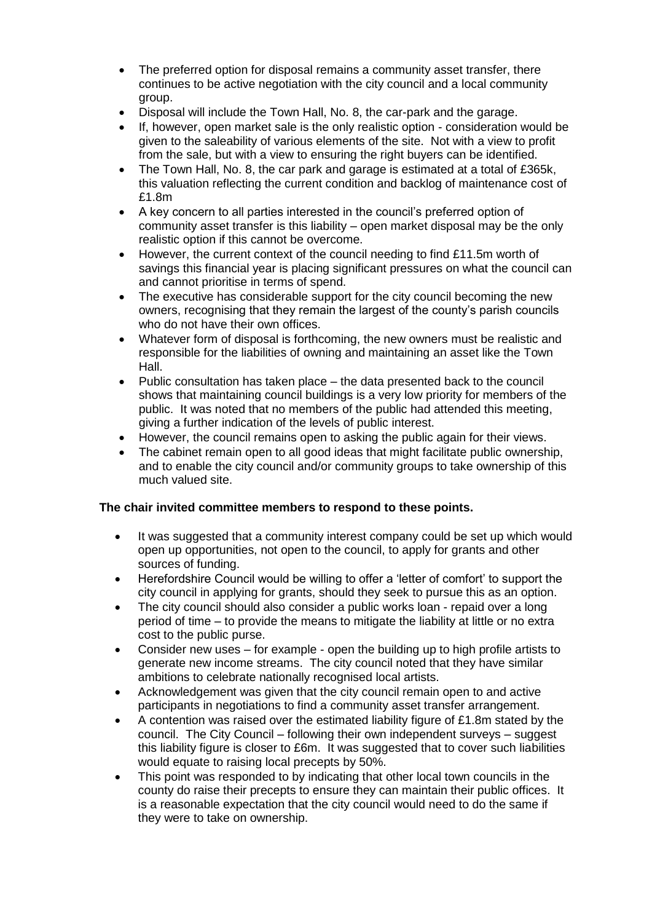- The preferred option for disposal remains a community asset transfer, there continues to be active negotiation with the city council and a local community group.
- Disposal will include the Town Hall, No. 8, the car-park and the garage.
- If, however, open market sale is the only realistic option consideration would be given to the saleability of various elements of the site. Not with a view to profit from the sale, but with a view to ensuring the right buyers can be identified.
- The Town Hall, No. 8, the car park and garage is estimated at a total of £365k, this valuation reflecting the current condition and backlog of maintenance cost of £1.8m
- A key concern to all parties interested in the council's preferred option of community asset transfer is this liability – open market disposal may be the only realistic option if this cannot be overcome.
- However, the current context of the council needing to find £11.5m worth of savings this financial year is placing significant pressures on what the council can and cannot prioritise in terms of spend.
- The executive has considerable support for the city council becoming the new owners, recognising that they remain the largest of the county's parish councils who do not have their own offices.
- Whatever form of disposal is forthcoming, the new owners must be realistic and responsible for the liabilities of owning and maintaining an asset like the Town Hall.
- Public consultation has taken place the data presented back to the council shows that maintaining council buildings is a very low priority for members of the public. It was noted that no members of the public had attended this meeting, giving a further indication of the levels of public interest.
- However, the council remains open to asking the public again for their views.
- The cabinet remain open to all good ideas that might facilitate public ownership, and to enable the city council and/or community groups to take ownership of this much valued site.

### **The chair invited committee members to respond to these points.**

- It was suggested that a community interest company could be set up which would open up opportunities, not open to the council, to apply for grants and other sources of funding.
- Herefordshire Council would be willing to offer a 'letter of comfort' to support the city council in applying for grants, should they seek to pursue this as an option.
- The city council should also consider a public works loan repaid over a long period of time – to provide the means to mitigate the liability at little or no extra cost to the public purse.
- Consider new uses for example open the building up to high profile artists to generate new income streams. The city council noted that they have similar ambitions to celebrate nationally recognised local artists.
- Acknowledgement was given that the city council remain open to and active participants in negotiations to find a community asset transfer arrangement.
- A contention was raised over the estimated liability figure of £1.8m stated by the council. The City Council – following their own independent surveys – suggest this liability figure is closer to £6m. It was suggested that to cover such liabilities would equate to raising local precepts by 50%.
- This point was responded to by indicating that other local town councils in the county do raise their precepts to ensure they can maintain their public offices. It is a reasonable expectation that the city council would need to do the same if they were to take on ownership.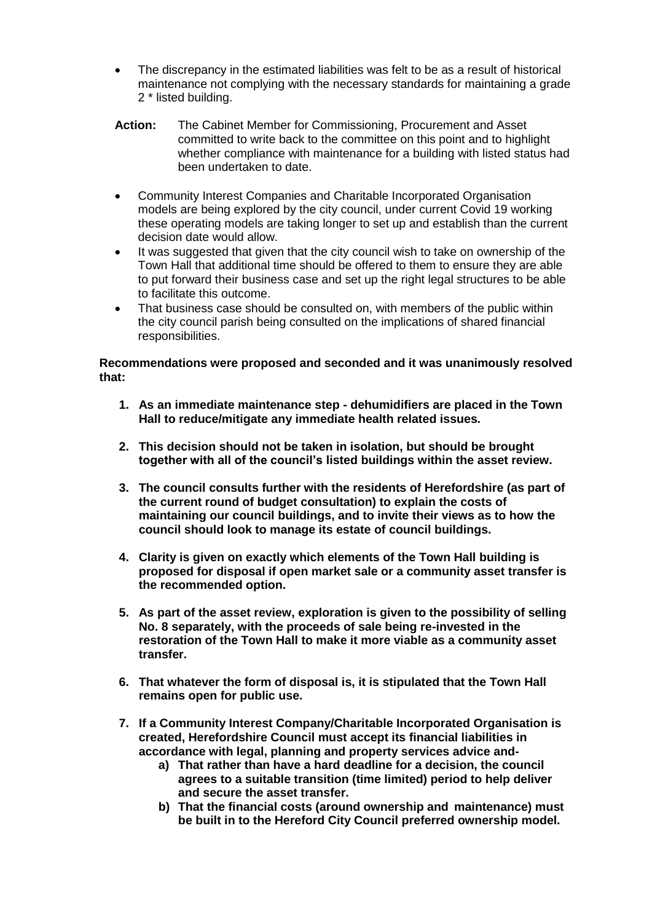- The discrepancy in the estimated liabilities was felt to be as a result of historical maintenance not complying with the necessary standards for maintaining a grade 2 \* listed building.
- **Action:** The Cabinet Member for Commissioning, Procurement and Asset committed to write back to the committee on this point and to highlight whether compliance with maintenance for a building with listed status had been undertaken to date.
- Community Interest Companies and Charitable Incorporated Organisation models are being explored by the city council, under current Covid 19 working these operating models are taking longer to set up and establish than the current decision date would allow.
- It was suggested that given that the city council wish to take on ownership of the Town Hall that additional time should be offered to them to ensure they are able to put forward their business case and set up the right legal structures to be able to facilitate this outcome.
- That business case should be consulted on, with members of the public within the city council parish being consulted on the implications of shared financial responsibilities.

**Recommendations were proposed and seconded and it was unanimously resolved that:**

- **1. As an immediate maintenance step - dehumidifiers are placed in the Town Hall to reduce/mitigate any immediate health related issues.**
- **2. This decision should not be taken in isolation, but should be brought together with all of the council's listed buildings within the asset review.**
- **3. The council consults further with the residents of Herefordshire (as part of the current round of budget consultation) to explain the costs of maintaining our council buildings, and to invite their views as to how the council should look to manage its estate of council buildings.**
- **4. Clarity is given on exactly which elements of the Town Hall building is proposed for disposal if open market sale or a community asset transfer is the recommended option.**
- **5. As part of the asset review, exploration is given to the possibility of selling No. 8 separately, with the proceeds of sale being re-invested in the restoration of the Town Hall to make it more viable as a community asset transfer.**
- **6. That whatever the form of disposal is, it is stipulated that the Town Hall remains open for public use.**
- **7. If a Community Interest Company/Charitable Incorporated Organisation is created, Herefordshire Council must accept its financial liabilities in accordance with legal, planning and property services advice and**
	- **a) That rather than have a hard deadline for a decision, the council agrees to a suitable transition (time limited) period to help deliver and secure the asset transfer.**
	- **b) That the financial costs (around ownership and maintenance) must be built in to the Hereford City Council preferred ownership model.**